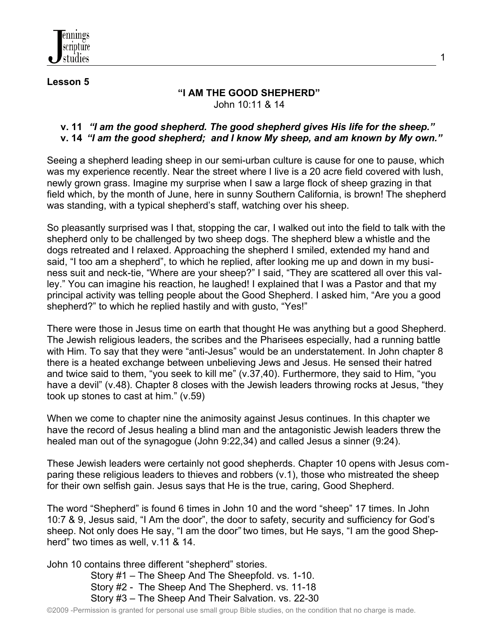

#### **Lesson 5**

### **"I AM THE GOOD SHEPHERD"** John 10:11 & 14

1

### **v. 11** *"I am the good shepherd. The good shepherd gives His life for the sheep."* **v. 14** *"I am the good shepherd; and I know My sheep, and am known by My own."*

Seeing a shepherd leading sheep in our semi-urban culture is cause for one to pause, which was my experience recently. Near the street where I live is a 20 acre field covered with lush, newly grown grass. Imagine my surprise when I saw a large flock of sheep grazing in that field which, by the month of June, here in sunny Southern California, is brown! The shepherd was standing, with a typical shepherd's staff, watching over his sheep.

So pleasantly surprised was I that, stopping the car, I walked out into the field to talk with the shepherd only to be challenged by two sheep dogs. The shepherd blew a whistle and the dogs retreated and I relaxed. Approaching the shepherd I smiled, extended my hand and said, "I too am a shepherd", to which he replied, after looking me up and down in my business suit and neck-tie, "Where are your sheep?" I said, "They are scattered all over this valley." You can imagine his reaction, he laughed! I explained that I was a Pastor and that my principal activity was telling people about the Good Shepherd. I asked him, "Are you a good shepherd?" to which he replied hastily and with gusto, "Yes!"

There were those in Jesus time on earth that thought He was anything but a good Shepherd. The Jewish religious leaders, the scribes and the Pharisees especially, had a running battle with Him. To say that they were "anti-Jesus" would be an understatement. In John chapter 8 there is a heated exchange between unbelieving Jews and Jesus. He sensed their hatred and twice said to them, "you seek to kill me" (v.37,40). Furthermore, they said to Him, "you have a devil" (v.48). Chapter 8 closes with the Jewish leaders throwing rocks at Jesus, "they took up stones to cast at him." (v.59)

When we come to chapter nine the animosity against Jesus continues. In this chapter we have the record of Jesus healing a blind man and the antagonistic Jewish leaders threw the healed man out of the synagogue (John 9:22,34) and called Jesus a sinner (9:24).

These Jewish leaders were certainly not good shepherds. Chapter 10 opens with Jesus comparing these religious leaders to thieves and robbers (v.1), those who mistreated the sheep for their own selfish gain. Jesus says that He is the true, caring, Good Shepherd.

The word "Shepherd" is found 6 times in John 10 and the word "sheep" 17 times. In John 10:7 & 9, Jesus said, "I Am the door", the door to safety, security and sufficiency for God's sheep. Not only does He say, "I am the door*"* two times, but He says, "I am the good Shepherd" two times as well, v.11 & 14.

John 10 contains three different "shepherd" stories.

 Story #1 – The Sheep And The Sheepfold. vs. 1-10. Story #2 - The Sheep And The Shepherd. vs. 11-18 Story #3 – The Sheep And Their Salvation. vs. 22-30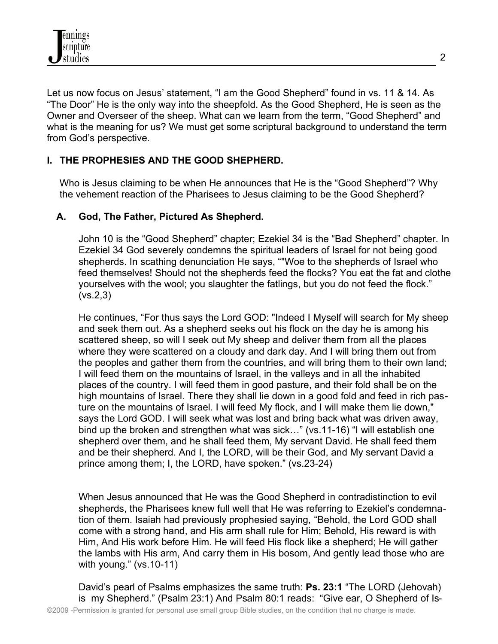Let us now focus on Jesus' statement, "I am the Good Shepherd" found in vs. 11 & 14. As "The Door" He is the only way into the sheepfold. As the Good Shepherd, He is seen as the Owner and Overseer of the sheep. What can we learn from the term, "Good Shepherd" and what is the meaning for us? We must get some scriptural background to understand the term from God's perspective.

# **I. THE PROPHESIES AND THE GOOD SHEPHERD.**

Who is Jesus claiming to be when He announces that He is the "Good Shepherd"? Why the vehement reaction of the Pharisees to Jesus claiming to be the Good Shepherd?

## **A. God, The Father, Pictured As Shepherd.**

John 10 is the "Good Shepherd" chapter; Ezekiel 34 is the "Bad Shepherd" chapter. In Ezekiel 34 God severely condemns the spiritual leaders of Israel for not being good shepherds. In scathing denunciation He says, ""Woe to the shepherds of Israel who feed themselves! Should not the shepherds feed the flocks? You eat the fat and clothe yourselves with the wool; you slaughter the fatlings, but you do not feed the flock." (vs.2,3)

He continues, "For thus says the Lord GOD: "Indeed I Myself will search for My sheep and seek them out. As a shepherd seeks out his flock on the day he is among his scattered sheep, so will I seek out My sheep and deliver them from all the places where they were scattered on a cloudy and dark day. And I will bring them out from the peoples and gather them from the countries, and will bring them to their own land; I will feed them on the mountains of Israel, in the valleys and in all the inhabited places of the country. I will feed them in good pasture, and their fold shall be on the high mountains of Israel. There they shall lie down in a good fold and feed in rich pasture on the mountains of Israel. I will feed My flock, and I will make them lie down," says the Lord GOD. I will seek what was lost and bring back what was driven away, bind up the broken and strengthen what was sick…" (vs.11-16) "I will establish one shepherd over them, and he shall feed them, My servant David. He shall feed them and be their shepherd. And I, the LORD, will be their God, and My servant David a prince among them; I, the LORD, have spoken." (vs.23-24)

When Jesus announced that He was the Good Shepherd in contradistinction to evil shepherds, the Pharisees knew full well that He was referring to Ezekiel's condemnation of them. Isaiah had previously prophesied saying, "Behold, the Lord GOD shall come with a strong hand, and His arm shall rule for Him; Behold, His reward is with Him, And His work before Him. He will feed His flock like a shepherd; He will gather the lambs with His arm, And carry them in His bosom, And gently lead those who are with young." (vs.10-11)

David's pearl of Psalms emphasizes the same truth: **Ps. 23:1** "The LORD (Jehovah) is my Shepherd." (Psalm 23:1) And Psalm 80:1 reads: "Give ear, O Shepherd of Is-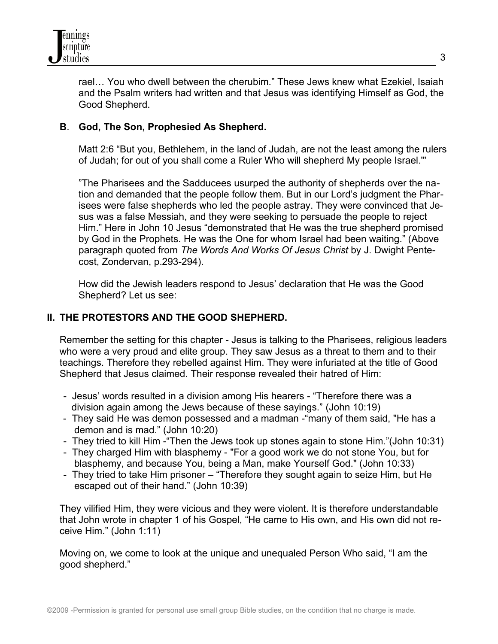

rael… You who dwell between the cherubim." These Jews knew what Ezekiel, Isaiah and the Psalm writers had written and that Jesus was identifying Himself as God, the Good Shepherd.

## **B**. **God, The Son, Prophesied As Shepherd.**

Matt 2:6 "But you, Bethlehem, in the land of Judah, are not the least among the rulers of Judah; for out of you shall come a Ruler Who will shepherd My people Israel.'"

"The Pharisees and the Sadducees usurped the authority of shepherds over the nation and demanded that the people follow them. But in our Lord's judgment the Pharisees were false shepherds who led the people astray. They were convinced that Jesus was a false Messiah, and they were seeking to persuade the people to reject Him." Here in John 10 Jesus "demonstrated that He was the true shepherd promised by God in the Prophets. He was the One for whom Israel had been waiting." (Above paragraph quoted from *The Words And Works Of Jesus Christ* by J. Dwight Pentecost, Zondervan, p.293-294).

How did the Jewish leaders respond to Jesus' declaration that He was the Good Shepherd? Let us see:

### **II. THE PROTESTORS AND THE GOOD SHEPHERD.**

Remember the setting for this chapter - Jesus is talking to the Pharisees, religious leaders who were a very proud and elite group. They saw Jesus as a threat to them and to their teachings. Therefore they rebelled against Him. They were infuriated at the title of Good Shepherd that Jesus claimed. Their response revealed their hatred of Him:

- Jesus' words resulted in a division among His hearers "Therefore there was a division again among the Jews because of these sayings." (John 10:19)
- They said He was demon possessed and a madman -"many of them said, "He has a demon and is mad." (John 10:20)
- They tried to kill Him -"Then the Jews took up stones again to stone Him."(John 10:31)
- They charged Him with blasphemy "For a good work we do not stone You, but for blasphemy, and because You, being a Man, make Yourself God." (John 10:33)
- They tried to take Him prisoner "Therefore they sought again to seize Him, but He escaped out of their hand." (John 10:39)

They vilified Him, they were vicious and they were violent. It is therefore understandable that John wrote in chapter 1 of his Gospel, "He came to His own, and His own did not receive Him." (John 1:11)

Moving on, we come to look at the unique and unequaled Person Who said, "I am the good shepherd."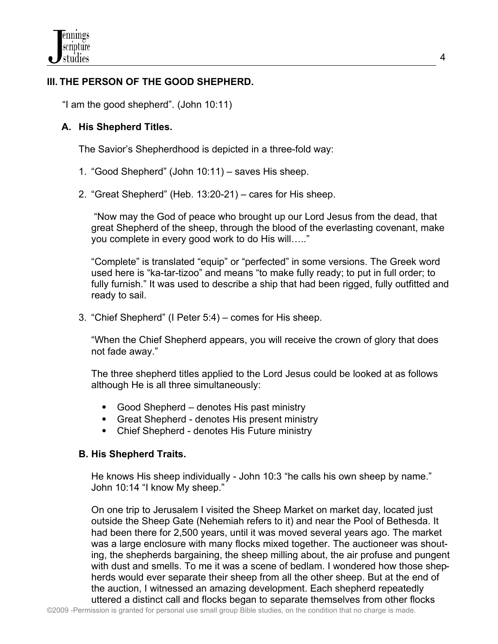# **III. THE PERSON OF THE GOOD SHEPHERD.**

"I am the good shepherd". (John 10:11)

## **A. His Shepherd Titles.**

The Savior's Shepherdhood is depicted in a three-fold way:

- 1. "Good Shepherd" (John 10:11) saves His sheep.
- 2. "Great Shepherd" (Heb. 13:20-21) cares for His sheep.

 "Now may the God of peace who brought up our Lord Jesus from the dead, that great Shepherd of the sheep, through the blood of the everlasting covenant, make you complete in every good work to do His will….."

"Complete" is translated "equip" or "perfected" in some versions. The Greek word used here is "ka-tar-tizoo" and means "to make fully ready; to put in full order; to fully furnish." It was used to describe a ship that had been rigged, fully outfitted and ready to sail.

3. "Chief Shepherd" (I Peter 5:4) – comes for His sheep.

"When the Chief Shepherd appears, you will receive the crown of glory that does not fade away."

The three shepherd titles applied to the Lord Jesus could be looked at as follows although He is all three simultaneously:

- Good Shepherd denotes His past ministry
- Great Shepherd denotes His present ministry
- Chief Shepherd denotes His Future ministry

### **B. His Shepherd Traits.**

 He knows His sheep individually - John 10:3 "he calls his own sheep by name." John 10:14 "I know My sheep."

On one trip to Jerusalem I visited the Sheep Market on market day, located just outside the Sheep Gate (Nehemiah refers to it) and near the Pool of Bethesda. It had been there for 2,500 years, until it was moved several years ago. The market was a large enclosure with many flocks mixed together. The auctioneer was shouting, the shepherds bargaining, the sheep milling about, the air profuse and pungent with dust and smells. To me it was a scene of bedlam. I wondered how those shepherds would ever separate their sheep from all the other sheep. But at the end of the auction, I witnessed an amazing development. Each shepherd repeatedly uttered a distinct call and flocks began to separate themselves from other flocks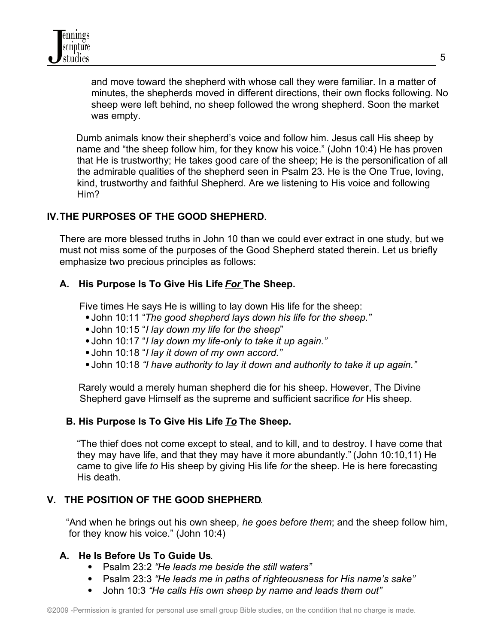and move toward the shepherd with whose call they were familiar. In a matter of minutes, the shepherds moved in different directions, their own flocks following. No sheep were left behind, no sheep followed the wrong shepherd. Soon the market was empty.

Dumb animals know their shepherd's voice and follow him. Jesus call His sheep by name and "the sheep follow him, for they know his voice." (John 10:4) He has proven that He is trustworthy; He takes good care of the sheep; He is the personification of all the admirable qualities of the shepherd seen in Psalm 23. He is the One True, loving, kind, trustworthy and faithful Shepherd. Are we listening to His voice and following Him?

# **IV.THE PURPOSES OF THE GOOD SHEPHERD**.

There are more blessed truths in John 10 than we could ever extract in one study, but we must not miss some of the purposes of the Good Shepherd stated therein. Let us briefly emphasize two precious principles as follows:

## **A. His Purpose Is To Give His Life** *For* **The Sheep.**

Five times He says He is willing to lay down His life for the sheep:

- John 10:11 "*The good shepherd lays down his life for the sheep."*
- John 10:15 "*I lay down my life for the sheep*"
- John 10:17 "*I lay down my life-only to take it up again."*
- John 10:18 "*I lay it down of my own accord."*
- John 10:18 *"I have authority to lay it down and authority to take it up again."*

Rarely would a merely human shepherd die for his sheep. However, The Divine Shepherd gave Himself as the supreme and sufficient sacrifice *for* His sheep.

## **B. His Purpose Is To Give His Life** *To* **The Sheep.**

 "The thief does not come except to steal, and to kill, and to destroy. I have come that they may have life, and that they may have it more abundantly." (John 10:10,11) He came to give life *to* His sheep by giving His life *for* the sheep. He is here forecasting His death.

## **V. THE POSITION OF THE GOOD SHEPHERD**.

 "And when he brings out his own sheep, *he goes before them*; and the sheep follow him, for they know his voice." (John 10:4)

## **A. He Is Before Us To Guide Us**.

- Psalm 23:2 *"He leads me beside the still waters"*
- Psalm 23:3 *"He leads me in paths of righteousness for His name's sake"*
- John 10:3 *"He calls His own sheep by name and leads them out"*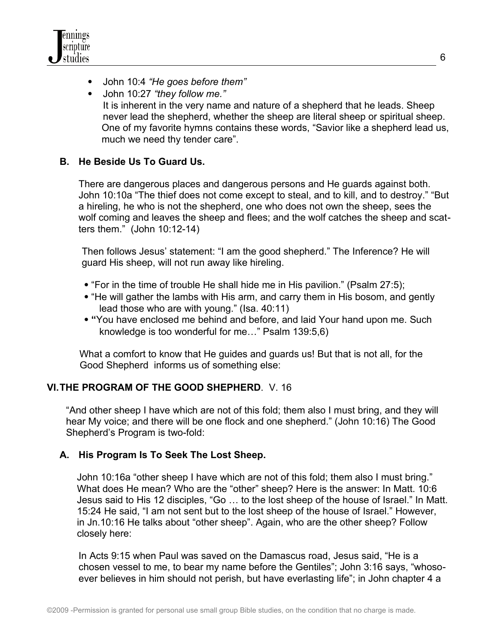

- John 10:4 *"He goes before them"*
- John 10:27 *"they follow me."* It is inherent in the very name and nature of a shepherd that he leads. Sheep never lead the shepherd, whether the sheep are literal sheep or spiritual sheep. One of my favorite hymns contains these words, "Savior like a shepherd lead us, much we need thy tender care".

### **B. He Beside Us To Guard Us.**

There are dangerous places and dangerous persons and He guards against both. John 10:10a "The thief does not come except to steal, and to kill, and to destroy." "But a hireling, he who is not the shepherd, one who does not own the sheep, sees the wolf coming and leaves the sheep and flees; and the wolf catches the sheep and scatters them." (John 10:12-14)

Then follows Jesus' statement: "I am the good shepherd." The Inference? He will guard His sheep, will not run away like hireling.

- "For in the time of trouble He shall hide me in His pavilion." (Psalm 27:5);
- "He will gather the lambs with His arm, and carry them in His bosom, and gently lead those who are with young." (Isa. 40:11)
- **"**You have enclosed me behind and before, and laid Your hand upon me. Such knowledge is too wonderful for me…" Psalm 139:5,6)

What a comfort to know that He guides and guards us! But that is not all, for the Good Shepherd informs us of something else:

### **VI.THE PROGRAM OF THE GOOD SHEPHERD**. V. 16

 "And other sheep I have which are not of this fold; them also I must bring, and they will hear My voice; and there will be one flock and one shepherd." (John 10:16) The Good Shepherd's Program is two-fold:

### **A. His Program Is To Seek The Lost Sheep.**

 John 10:16a "other sheep I have which are not of this fold; them also I must bring." What does He mean? Who are the "other" sheep? Here is the answer: In Matt. 10:6 Jesus said to His 12 disciples, "Go … to the lost sheep of the house of Israel." In Matt. 15:24 He said, "I am not sent but to the lost sheep of the house of Israel." However, in Jn.10:16 He talks about "other sheep". Again, who are the other sheep? Follow closely here:

In Acts 9:15 when Paul was saved on the Damascus road, Jesus said, "He is a chosen vessel to me, to bear my name before the Gentiles"; John 3:16 says, "whosoever believes in him should not perish, but have everlasting life"; in John chapter 4 a